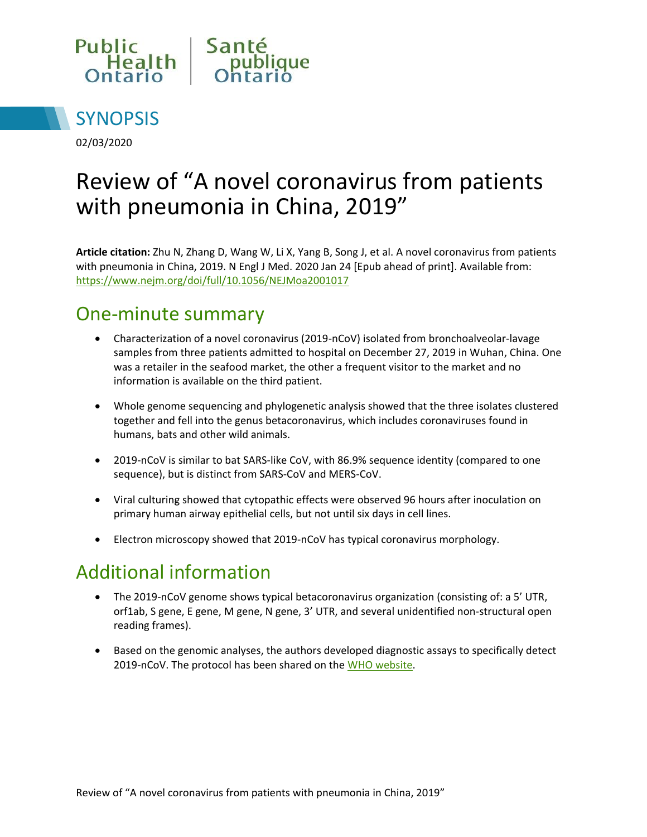



02/03/2020

# Review of "A novel coronavirus from patients with pneumonia in China, 2019"

**Article citation:** Zhu N, Zhang D, Wang W, Li X, Yang B, Song J, et al. A novel coronavirus from patients with pneumonia in China, 2019. N Engl J Med. 2020 Jan 24 [Epub ahead of print]. Available from: <https://www.nejm.org/doi/full/10.1056/NEJMoa2001017>

#### One-minute summary

- Characterization of a novel coronavirus (2019-nCoV) isolated from bronchoalveolar-lavage samples from three patients admitted to hospital on December 27, 2019 in Wuhan, China. One was a retailer in the seafood market, the other a frequent visitor to the market and no information is available on the third patient.
- Whole genome sequencing and phylogenetic analysis showed that the three isolates clustered together and fell into the genus betacoronavirus, which includes coronaviruses found in humans, bats and other wild animals.
- 2019-nCoV is similar to bat SARS-like CoV, with 86.9% sequence identity (compared to one sequence), but is distinct from SARS-CoV and MERS-CoV.
- Viral culturing showed that cytopathic effects were observed 96 hours after inoculation on primary human airway epithelial cells, but not until six days in cell lines.
- Electron microscopy showed that 2019-nCoV has typical coronavirus morphology.

### Additional information

- The 2019-nCoV genome shows typical betacoronavirus organization (consisting of: a 5' UTR, orf1ab, S gene, E gene, M gene, N gene, 3' UTR, and several unidentified non-structural open reading frames).
- Based on the genomic analyses, the authors developed diagnostic assays to specifically detect 2019-nCoV. The protocol has been shared on the [WHO website.](https://www.who.int/emergencies/diseases/novel-coronavirus-2019/technical-guidance/laboratory-guidance)